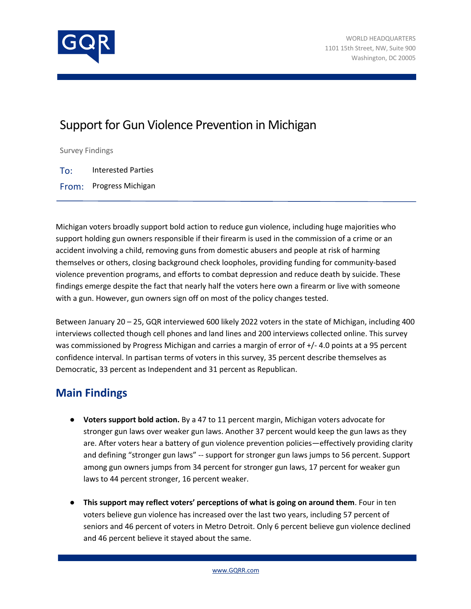

## Support for Gun Violence Prevention in Michigan

Survey Findings

To: Interested Parties

From: Progress Michigan

Michigan voters broadly support bold action to reduce gun violence, including huge majorities who support holding gun owners responsible if their firearm is used in the commission of a crime or an accident involving a child, removing guns from domestic abusers and people at risk of harming themselves or others, closing background check loopholes, providing funding for community-based violence prevention programs, and efforts to combat depression and reduce death by suicide. These findings emerge despite the fact that nearly half the voters here own a firearm or live with someone with a gun. However, gun owners sign off on most of the policy changes tested.

Between January 20 – 25, GQR interviewed 600 likely 2022 voters in the state of Michigan, including 400 interviews collected though cell phones and land lines and 200 interviews collected online. This survey was commissioned by Progress Michigan and carries a margin of error of  $+/$ -4.0 points at a 95 percent confidence interval. In partisan terms of voters in this survey, 35 percent describe themselves as Democratic, 33 percent as Independent and 31 percent as Republican.

## **Main Findings**

- **Voters support bold action.** By a 47 to 11 percent margin, Michigan voters advocate for stronger gun laws over weaker gun laws. Another 37 percent would keep the gun laws as they are. After voters hear a battery of gun violence prevention policies—effectively providing clarity and defining "stronger gun laws" -- support for stronger gun laws jumps to 56 percent. Support among gun owners jumps from 34 percent for stronger gun laws, 17 percent for weaker gun laws to 44 percent stronger, 16 percent weaker.
- **This support may reflect voters' perceptions of what is going on around them**. Four in ten voters believe gun violence has increased over the last two years, including 57 percent of seniors and 46 percent of voters in Metro Detroit. Only 6 percent believe gun violence declined and 46 percent believe it stayed about the same.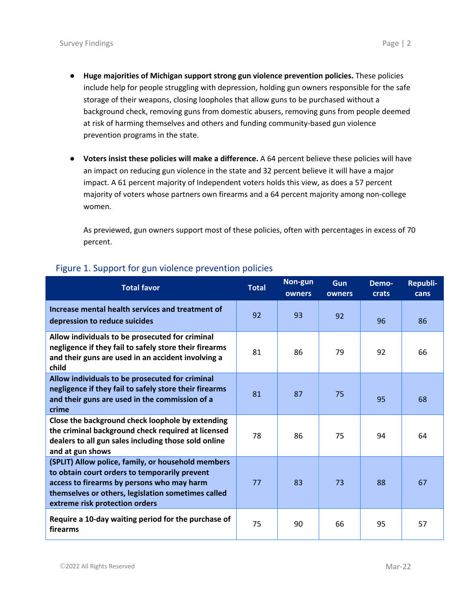- **Huge majorities of Michigan support strong gun violence prevention policies.** These policies include help for people struggling with depression, holding gun owners responsible for the safe storage of their weapons, closing loopholes that allow guns to be purchased without a background check, removing guns from domestic abusers, removing guns from people deemed at risk of harming themselves and others and funding community-based gun violence prevention programs in the state.
- **Voters insist these policies will make a difference.** A 64 percent believe these policies will have an impact on reducing gun violence in the state and 32 percent believe it will have a major impact. A 61 percent majority of Independent voters holds this view, as does a 57 percent majority of voters whose partners own firearms and a 64 percent majority among non-college women.

As previewed, gun owners support most of these policies, often with percentages in excess of 70 percent.

| <b>Total favor</b>                                                                                                                                                                                                                        | <b>Total</b> | Non-gun<br>owners | <b>Gun</b><br>owners | Demo-<br><b>crats</b> | Republi-<br>cans |
|-------------------------------------------------------------------------------------------------------------------------------------------------------------------------------------------------------------------------------------------|--------------|-------------------|----------------------|-----------------------|------------------|
| Increase mental health services and treatment of<br>depression to reduce suicides                                                                                                                                                         | 92           | 93                | 92                   | 96                    | 86               |
| Allow individuals to be prosecuted for criminal<br>negligence if they fail to safely store their firearms<br>and their guns are used in an accident involving a<br>child                                                                  | 81           | 86                | 79                   | 92                    | 66               |
| Allow individuals to be prosecuted for criminal<br>negligence if they fail to safely store their firearms<br>and their guns are used in the commission of a<br>crime                                                                      | 81           | 87                | 75                   | 95                    | 68               |
| Close the background check loophole by extending<br>the criminal background check required at licensed<br>dealers to all gun sales including those sold online<br>and at gun shows                                                        | 78           | 86                | 75                   | 94                    | 64               |
| (SPLIT) Allow police, family, or household members<br>to obtain court orders to temporarily prevent<br>access to firearms by persons who may harm<br>themselves or others, legislation sometimes called<br>extreme risk protection orders | 77           | 83                | 73                   | 88                    | 67               |
| Require a 10-day waiting period for the purchase of<br>firearms                                                                                                                                                                           | 75           | 90                | 66                   | 95                    | 57               |

## Figure 1. Support for gun violence prevention policies